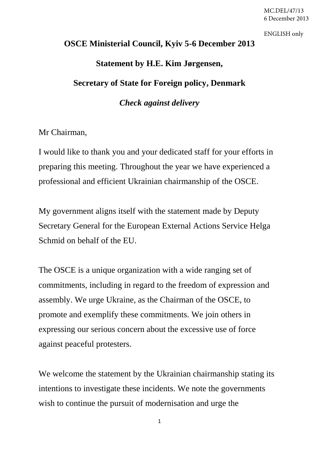#### MC.DEL/47/13 6 December 2013

#### ENGLISH only

# **OSCE Ministerial Council, Kyiv 5-6 December 2013 Statement by H.E. Kim Jørgensen, Secretary of State for Foreign policy, Denmark**

## *Check against delivery*

## Mr Chairman,

I would like to thank you and your dedicated staff for your efforts in preparing this meeting. Throughout the year we have experienced a professional and efficient Ukrainian chairmanship of the OSCE.

My government aligns itself with the statement made by Deputy Secretary General for the European External Actions Service Helga Schmid on behalf of the EU.

The OSCE is a unique organization with a wide ranging set of commitments, including in regard to the freedom of expression and assembly. We urge Ukraine, as the Chairman of the OSCE, to promote and exemplify these commitments. We join others in expressing our serious concern about the excessive use of force against peaceful protesters.

We welcome the statement by the Ukrainian chairmanship stating its intentions to investigate these incidents. We note the governments wish to continue the pursuit of modernisation and urge the

1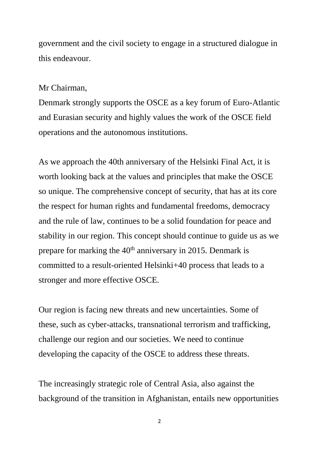government and the civil society to engage in a structured dialogue in this endeavour.

## Mr Chairman,

Denmark strongly supports the OSCE as a key forum of Euro-Atlantic and Eurasian security and highly values the work of the OSCE field operations and the autonomous institutions.

As we approach the 40th anniversary of the Helsinki Final Act, it is worth looking back at the values and principles that make the OSCE so unique. The comprehensive concept of security, that has at its core the respect for human rights and fundamental freedoms, democracy and the rule of law, continues to be a solid foundation for peace and stability in our region. This concept should continue to guide us as we prepare for marking the 40<sup>th</sup> anniversary in 2015. Denmark is committed to a result-oriented Helsinki+40 process that leads to a stronger and more effective OSCE.

Our region is facing new threats and new uncertainties. Some of these, such as cyber-attacks, transnational terrorism and trafficking, challenge our region and our societies. We need to continue developing the capacity of the OSCE to address these threats.

The increasingly strategic role of Central Asia, also against the background of the transition in Afghanistan, entails new opportunities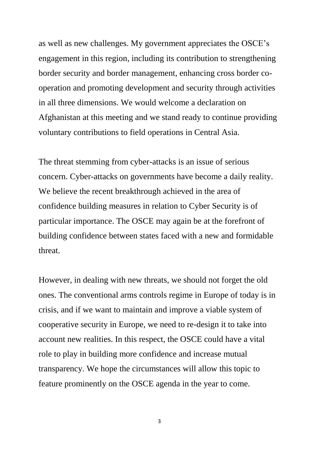as well as new challenges. My government appreciates the OSCE's engagement in this region, including its contribution to strengthening border security and border management, enhancing cross border cooperation and promoting development and security through activities in all three dimensions. We would welcome a declaration on Afghanistan at this meeting and we stand ready to continue providing voluntary contributions to field operations in Central Asia.

The threat stemming from cyber-attacks is an issue of serious concern. Cyber-attacks on governments have become a daily reality. We believe the recent breakthrough achieved in the area of confidence building measures in relation to Cyber Security is of particular importance. The OSCE may again be at the forefront of building confidence between states faced with a new and formidable threat.

However, in dealing with new threats, we should not forget the old ones. The conventional arms controls regime in Europe of today is in crisis, and if we want to maintain and improve a viable system of cooperative security in Europe, we need to re-design it to take into account new realities. In this respect, the OSCE could have a vital role to play in building more confidence and increase mutual transparency. We hope the circumstances will allow this topic to feature prominently on the OSCE agenda in the year to come.